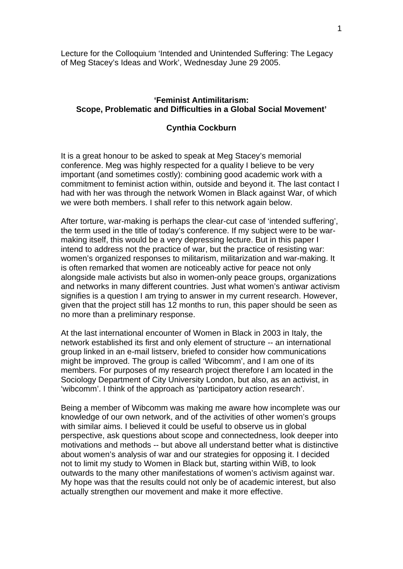Lecture for the Colloquium 'Intended and Unintended Suffering: The Legacy of Meg Stacey's Ideas and Work', Wednesday June 29 2005.

# **'Feminist Antimilitarism: Scope, Problematic and Difficulties in a Global Social Movement'**

#### **Cynthia Cockburn**

It is a great honour to be asked to speak at Meg Stacey's memorial conference. Meg was highly respected for a quality I believe to be very important (and sometimes costly): combining good academic work with a commitment to feminist action within, outside and beyond it. The last contact I had with her was through the network Women in Black against War, of which we were both members. I shall refer to this network again below.

After torture, war-making is perhaps the clear-cut case of 'intended suffering', the term used in the title of today's conference. If my subject were to be warmaking itself, this would be a very depressing lecture. But in this paper I intend to address not the practice of war, but the practice of resisting war: women's organized responses to militarism, militarization and war-making. It is often remarked that women are noticeably active for peace not only alongside male activists but also in women-only peace groups, organizations and networks in many different countries. Just what women's antiwar activism signifies is a question I am trying to answer in my current research. However, given that the project still has 12 months to run, this paper should be seen as no more than a preliminary response.

At the last international encounter of Women in Black in 2003 in Italy, the network established its first and only element of structure -- an international group linked in an e-mail listserv, briefed to consider how communications might be improved. The group is called 'Wibcomm', and I am one of its members. For purposes of my research project therefore I am located in the Sociology Department of City University London, but also, as an activist, in 'wibcomm'. I think of the approach as 'participatory action research'.

Being a member of Wibcomm was making me aware how incomplete was our knowledge of our own network, and of the activities of other women's groups with similar aims. I believed it could be useful to observe us in global perspective, ask questions about scope and connectedness, look deeper into motivations and methods -- but above all understand better what is distinctive about women's analysis of war and our strategies for opposing it. I decided not to limit my study to Women in Black but, starting within WiB, to look outwards to the many other manifestations of women's activism against war. My hope was that the results could not only be of academic interest, but also actually strengthen our movement and make it more effective.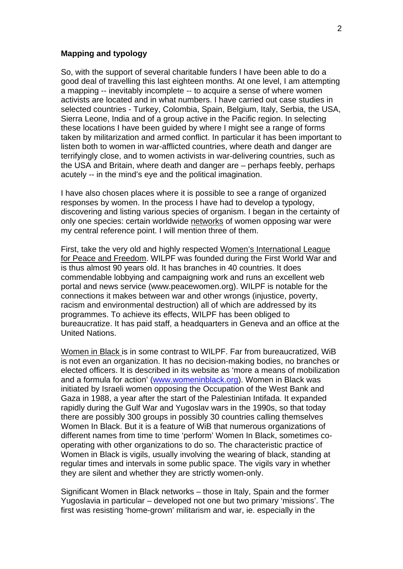### **Mapping and typology**

So, with the support of several charitable funders I have been able to do a good deal of travelling this last eighteen months. At one level, I am attempting a mapping -- inevitably incomplete -- to acquire a sense of where women activists are located and in what numbers. I have carried out case studies in selected countries - Turkey, Colombia, Spain, Belgium, Italy, Serbia, the USA, Sierra Leone, India and of a group active in the Pacific region. In selecting these locations I have been guided by where I might see a range of forms taken by militarization and armed conflict. In particular it has been important to listen both to women in war-afflicted countries, where death and danger are terrifyingly close, and to women activists in war-delivering countries, such as the USA and Britain, where death and danger are – perhaps feebly, perhaps acutely -- in the mind's eye and the political imagination.

I have also chosen places where it is possible to see a range of organized responses by women. In the process I have had to develop a typology, discovering and listing various species of organism. I began in the certainty of only one species: certain worldwide networks of women opposing war were my central reference point. I will mention three of them.

First, take the very old and highly respected Women's International League for Peace and Freedom. WILPF was founded during the First World War and is thus almost 90 years old. It has branches in 40 countries. It does commendable lobbying and campaigning work and runs an excellent web portal and news service (www.peacewomen.org). WILPF is notable for the connections it makes between war and other wrongs (injustice, poverty, racism and environmental destruction) all of which are addressed by its programmes. To achieve its effects, WILPF has been obliged to bureaucratize. It has paid staff, a headquarters in Geneva and an office at the United Nations.

Women in Black is in some contrast to WILPF. Far from bureaucratized, WiB is not even an organization. It has no decision-making bodies, no branches or elected officers. It is described in its website as 'more a means of mobilization and a formula for action' [\(www.womeninblack.org](http://www.womeninblack.org/)). Women in Black was initiated by Israeli women opposing the Occupation of the West Bank and Gaza in 1988, a year after the start of the Palestinian Intifada. It expanded rapidly during the Gulf War and Yugoslav wars in the 1990s, so that today there are possibly 300 groups in possibly 30 countries calling themselves Women In Black. But it is a feature of WiB that numerous organizations of different names from time to time 'perform' Women In Black, sometimes cooperating with other organizations to do so. The characteristic practice of Women in Black is vigils, usually involving the wearing of black, standing at regular times and intervals in some public space. The vigils vary in whether they are silent and whether they are strictly women-only.

Significant Women in Black networks – those in Italy, Spain and the former Yugoslavia in particular – developed not one but two primary 'missions'. The first was resisting 'home-grown' militarism and war, ie. especially in the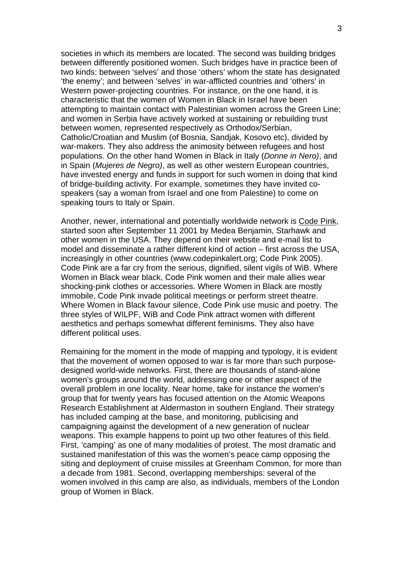societies in which its members are located. The second was building bridges between differently positioned women. Such bridges have in practice been of two kinds: between 'selves' and those 'others' whom the state has designated 'the enemy'; and between 'selves' in war-afflicted countries and 'others' in Western power-projecting countries. For instance, on the one hand, it is characteristic that the women of Women in Black in Israel have been attempting to maintain contact with Palestinian women across the Green Line; and women in Serbia have actively worked at sustaining or rebuilding trust between women, represented respectively as Orthodox/Serbian, Catholic/Croatian and Muslim (of Bosnia, Sandjak, Kosovo etc), divided by war-makers. They also address the animosity between refugees and host populations. On the other hand Women in Black in Italy (*Donne in Nero)*, and in Spain (*Mujeres de Negro)*, as well as other western European countries, have invested energy and funds in support for such women in doing that kind of bridge-building activity. For example, sometimes they have invited cospeakers (say a woman from Israel and one from Palestine) to come on speaking tours to Italy or Spain.

Another, newer, international and potentially worldwide network is Code Pink, started soon after September 11 2001 by Medea Benjamin, Starhawk and other women in the USA. They depend on their website and e-mail list to model and disseminate a rather different kind of action – first across the USA, increasingly in other countries (www.codepinkalert.org; Code Pink 2005). Code Pink are a far cry from the serious, dignified, silent vigils of WiB. Where Women in Black wear black, Code Pink women and their male allies wear shocking-pink clothes or accessories. Where Women in Black are mostly immobile, Code Pink invade political meetings or perform street theatre. Where Women in Black favour silence, Code Pink use music and poetry. The three styles of WILPF, WiB and Code Pink attract women with different aesthetics and perhaps somewhat different feminisms. They also have different political uses.

Remaining for the moment in the mode of mapping and typology, it is evident that the movement of women opposed to war is far more than such purposedesigned world-wide networks. First, there are thousands of stand-alone women's groups around the world, addressing one or other aspect of the overall problem in one locality. Near home, take for instance the women's group that for twenty years has focused attention on the Atomic Weapons Research Establishment at Aldermaston in southern England. Their strategy has included camping at the base, and monitoring, publicising and campaigning against the development of a new generation of nuclear weapons. This example happens to point up two other features of this field. First, 'camping' as one of many modalities of protest. The most dramatic and sustained manifestation of this was the women's peace camp opposing the siting and deployment of cruise missiles at Greenham Common, for more than a decade from 1981. Second, overlapping memberships: several of the women involved in this camp are also, as individuals, members of the London group of Women in Black.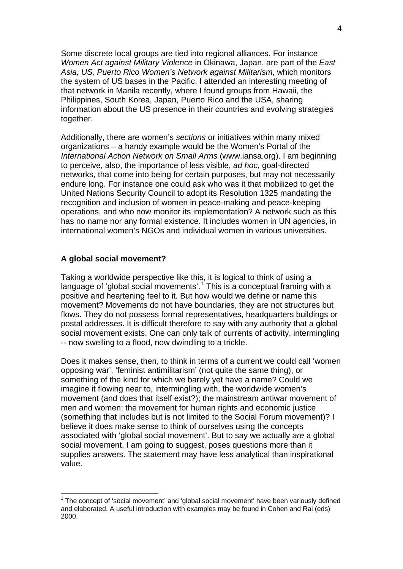Some discrete local groups are tied into regional alliances. For instance *Women Act against Military Violence* in Okinawa, Japan, are part of the *East Asia, US, Puerto Rico Women's Network against Militarism*, which monitors the system of US bases in the Pacific. I attended an interesting meeting of that network in Manila recently, where I found groups from Hawaii, the Philippines, South Korea, Japan, Puerto Rico and the USA, sharing information about the US presence in their countries and evolving strategies together.

Additionally, there are women's *sections* or initiatives within many mixed organizations – a handy example would be the Women's Portal of the *International Action Network on Small Arms* (www.iansa.org). I am beginning to perceive, also, the importance of less visible, *ad hoc*, goal-directed networks, that come into being for certain purposes, but may not necessarily endure long. For instance one could ask who was it that mobilized to get the United Nations Security Council to adopt its Resolution 1325 mandating the recognition and inclusion of women in peace-making and peace-keeping operations, and who now monitor its implementation? A network such as this has no name nor any formal existence. It includes women in UN agencies, in international women's NGOs and individual women in various universities.

#### **A global social movement?**

1

Taking a worldwide perspective like this, it is logical to think of using a language of 'global social movements'.<sup>[1](#page-3-0)</sup> This is a conceptual framing with a positive and heartening feel to it. But how would we define or name this movement? Movements do not have boundaries, they are not structures but flows. They do not possess formal representatives, headquarters buildings or postal addresses. It is difficult therefore to say with any authority that a global social movement exists. One can only talk of currents of activity, intermingling -- now swelling to a flood, now dwindling to a trickle.

Does it makes sense, then, to think in terms of a current we could call 'women opposing war', 'feminist antimilitarism' (not quite the same thing), or something of the kind for which we barely yet have a name? Could we imagine it flowing near to, intermingling with, the worldwide women's movement (and does that itself exist?); the mainstream antiwar movement of men and women; the movement for human rights and economic justice (something that includes but is not limited to the Social Forum movement)? I believe it does make sense to think of ourselves using the concepts associated with 'global social movement'. But to say we actually *are* a global social movement, I am going to suggest, poses questions more than it supplies answers. The statement may have less analytical than inspirational value.

<span id="page-3-0"></span> $1$  The concept of 'social movement' and 'global social movement' have been variously defined and elaborated. A useful introduction with examples may be found in Cohen and Rai (eds) 2000.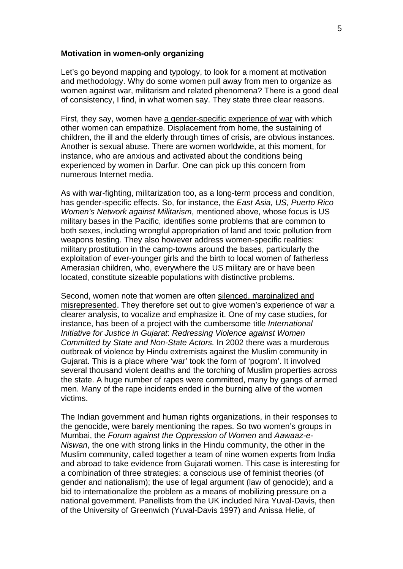#### **Motivation in women-only organizing**

Let's go beyond mapping and typology, to look for a moment at motivation and methodology. Why do some women pull away from men to organize as women against war, militarism and related phenomena? There is a good deal of consistency, I find, in what women say. They state three clear reasons.

First, they say, women have a gender-specific experience of war with which other women can empathize. Displacement from home, the sustaining of children, the ill and the elderly through times of crisis, are obvious instances. Another is sexual abuse. There are women worldwide, at this moment, for instance, who are anxious and activated about the conditions being experienced by women in Darfur. One can pick up this concern from numerous Internet media.

As with war-fighting, militarization too, as a long-term process and condition, has gender-specific effects. So, for instance, the *East Asia, US, Puerto Rico Women's Network against Militarism*, mentioned above, whose focus is US military bases in the Pacific, identifies some problems that are common to both sexes, including wrongful appropriation of land and toxic pollution from weapons testing. They also however address women-specific realities: military prostitution in the camp-towns around the bases, particularly the exploitation of ever-younger girls and the birth to local women of fatherless Amerasian children, who, everywhere the US military are or have been located, constitute sizeable populations with distinctive problems.

Second, women note that women are often silenced, marginalized and misrepresented. They therefore set out to give women's experience of war a clearer analysis, to vocalize and emphasize it. One of my case studies, for instance, has been of a project with the cumbersome title *International Initiative for Justice in Gujarat*: *Redressing Violence against Women Committed by State and Non-State Actors.* In 2002 there was a murderous outbreak of violence by Hindu extremists against the Muslim community in Gujarat. This is a place where 'war' took the form of 'pogrom'. It involved several thousand violent deaths and the torching of Muslim properties across the state. A huge number of rapes were committed, many by gangs of armed men. Many of the rape incidents ended in the burning alive of the women victims.

The Indian government and human rights organizations, in their responses to the genocide, were barely mentioning the rapes. So two women's groups in Mumbai, the *Forum against the Oppression of Women* and *Aawaaz-e-Niswan*, the one with strong links in the Hindu community, the other in the Muslim community, called together a team of nine women experts from India and abroad to take evidence from Gujarati women. This case is interesting for a combination of three strategies: a conscious use of feminist theories (of gender and nationalism); the use of legal argument (law of genocide); and a bid to internationalize the problem as a means of mobilizing pressure on a national government. Panellists from the UK included Nira Yuval-Davis, then of the University of Greenwich (Yuval-Davis 1997) and Anissa Helie, of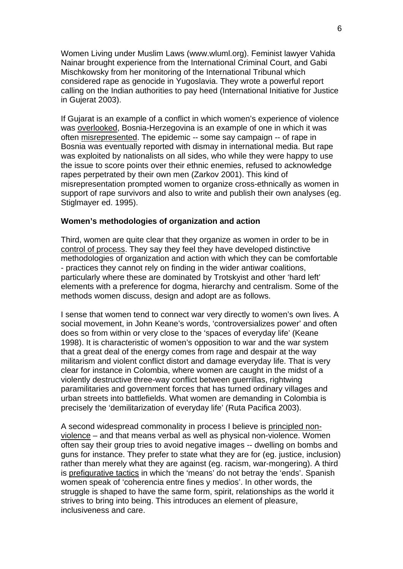Women Living under Muslim Laws (www.wluml.org). Feminist lawyer Vahida Nainar brought experience from the International Criminal Court, and Gabi Mischkowsky from her monitoring of the International Tribunal which considered rape as genocide in Yugoslavia. They wrote a powerful report calling on the Indian authorities to pay heed (International Initiative for Justice in Gujerat 2003).

If Gujarat is an example of a conflict in which women's experience of violence was overlooked, Bosnia-Herzegovina is an example of one in which it was often misrepresented. The epidemic -- some say campaign -- of rape in Bosnia was eventually reported with dismay in international media. But rape was exploited by nationalists on all sides, who while they were happy to use the issue to score points over their ethnic enemies, refused to acknowledge rapes perpetrated by their own men (Zarkov 2001). This kind of misrepresentation prompted women to organize cross-ethnically as women in support of rape survivors and also to write and publish their own analyses (eg. Stiglmayer ed. 1995).

### **Women's methodologies of organization and action**

Third, women are quite clear that they organize as women in order to be in control of process. They say they feel they have developed distinctive methodologies of organization and action with which they can be comfortable - practices they cannot rely on finding in the wider antiwar coalitions, particularly where these are dominated by Trotskyist and other 'hard left' elements with a preference for dogma, hierarchy and centralism. Some of the methods women discuss, design and adopt are as follows.

I sense that women tend to connect war very directly to women's own lives. A social movement, in John Keane's words, 'controversializes power' and often does so from within or very close to the 'spaces of everyday life' (Keane 1998). It is characteristic of women's opposition to war and the war system that a great deal of the energy comes from rage and despair at the way militarism and violent conflict distort and damage everyday life. That is very clear for instance in Colombia, where women are caught in the midst of a violently destructive three-way conflict between guerrillas, rightwing paramilitaries and government forces that has turned ordinary villages and urban streets into battlefields. What women are demanding in Colombia is precisely the 'demilitarization of everyday life' (Ruta Pacifica 2003).

A second widespread commonality in process I believe is principled nonviolence – and that means verbal as well as physical non-violence. Women often say their group tries to avoid negative images -- dwelling on bombs and guns for instance. They prefer to state what they are for (eg. justice, inclusion) rather than merely what they are against (eg. racism, war-mongering). A third is prefigurative tactics in which the 'means' do not betray the 'ends'. Spanish women speak of 'coherencia entre fines y medios'. In other words, the struggle is shaped to have the same form, spirit, relationships as the world it strives to bring into being. This introduces an element of pleasure, inclusiveness and care.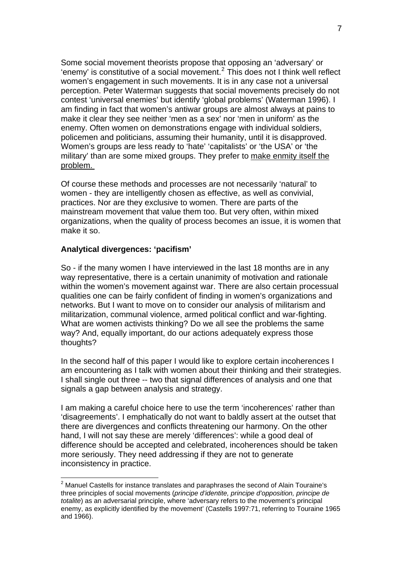Some social movement theorists propose that opposing an 'adversary' or 'enemy' is constitutive of a social movement.<sup>[2](#page-6-0)</sup> This does not I think well reflect women's engagement in such movements. It is in any case not a universal perception. Peter Waterman suggests that social movements precisely do not contest 'universal enemies' but identify 'global problems' (Waterman 1996). I am finding in fact that women's antiwar groups are almost always at pains to make it clear they see neither 'men as a sex' nor 'men in uniform' as the enemy. Often women on demonstrations engage with individual soldiers, policemen and politicians, assuming their humanity, until it is disapproved. Women's groups are less ready to 'hate' 'capitalists' or 'the USA' or 'the military' than are some mixed groups. They prefer to make enmity itself the problem.

Of course these methods and processes are not necessarily 'natural' to women - they are intelligently chosen as effective, as well as convivial, practices. Nor are they exclusive to women. There are parts of the mainstream movement that value them too. But very often, within mixed organizations, when the quality of process becomes an issue, it is women that make it so.

## **Analytical divergences: 'pacifism'**

1

So - if the many women I have interviewed in the last 18 months are in any way representative, there is a certain unanimity of motivation and rationale within the women's movement against war. There are also certain processual qualities one can be fairly confident of finding in women's organizations and networks. But I want to move on to consider our analysis of militarism and militarization, communal violence, armed political conflict and war-fighting. What are women activists thinking? Do we all see the problems the same way? And, equally important, do our actions adequately express those thoughts?

In the second half of this paper I would like to explore certain incoherences I am encountering as I talk with women about their thinking and their strategies. I shall single out three -- two that signal differences of analysis and one that signals a gap between analysis and strategy.

I am making a careful choice here to use the term 'incoherences' rather than 'disagreements'. I emphatically do not want to baldly assert at the outset that there are divergences and conflicts threatening our harmony. On the other hand, I will not say these are merely 'differences': while a good deal of difference should be accepted and celebrated, incoherences should be taken more seriously. They need addressing if they are not to generate inconsistency in practice.

<span id="page-6-0"></span> $2$  Manuel Castells for instance translates and paraphrases the second of Alain Touraine's three principles of social movements (*principe d'identite, principe d'opposition, principe de totalite*) as an adversarial principle, where 'adversary refers to the movement's principal enemy, as explicitly identified by the movement' (Castells 1997:71, referring to Touraine 1965 and 1966).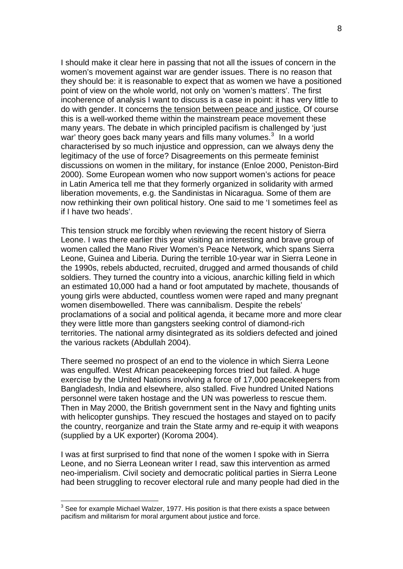I should make it clear here in passing that not all the issues of concern in the women's movement against war are gender issues. There is no reason that they should be: it is reasonable to expect that as women we have a positioned point of view on the whole world, not only on 'women's matters'. The first incoherence of analysis I want to discuss is a case in point: it has very little to do with gender. It concerns the tension between peace and justice. Of course this is a well-worked theme within the mainstream peace movement these many years. The debate in which principled pacifism is challenged by 'just war' theory goes back many years and fills many volumes.<sup>[3](#page-7-0)</sup> In a world characterised by so much injustice and oppression, can we always deny the legitimacy of the use of force? Disagreements on this permeate feminist discussions on women in the military, for instance (Enloe 2000, Peniston-Bird 2000). Some European women who now support women's actions for peace in Latin America tell me that they formerly organized in solidarity with armed liberation movements, e.g. the Sandinistas in Nicaragua. Some of them are now rethinking their own political history. One said to me 'I sometimes feel as if I have two heads'.

This tension struck me forcibly when reviewing the recent history of Sierra Leone. I was there earlier this year visiting an interesting and brave group of women called the Mano River Women's Peace Network, which spans Sierra Leone, Guinea and Liberia. During the terrible 10-year war in Sierra Leone in the 1990s, rebels abducted, recruited, drugged and armed thousands of child soldiers. They turned the country into a vicious, anarchic killing field in which an estimated 10,000 had a hand or foot amputated by machete, thousands of young girls were abducted, countless women were raped and many pregnant women disembowelled. There was cannibalism. Despite the rebels' proclamations of a social and political agenda, it became more and more clear they were little more than gangsters seeking control of diamond-rich territories. The national army disintegrated as its soldiers defected and joined the various rackets (Abdullah 2004).

There seemed no prospect of an end to the violence in which Sierra Leone was engulfed. West African peacekeeping forces tried but failed. A huge exercise by the United Nations involving a force of 17,000 peacekeepers from Bangladesh, India and elsewhere, also stalled. Five hundred United Nations personnel were taken hostage and the UN was powerless to rescue them. Then in May 2000, the British government sent in the Navy and fighting units with helicopter gunships. They rescued the hostages and stayed on to pacify the country, reorganize and train the State army and re-equip it with weapons (supplied by a UK exporter) (Koroma 2004).

I was at first surprised to find that none of the women I spoke with in Sierra Leone, and no Sierra Leonean writer I read, saw this intervention as armed neo-imperialism. Civil society and democratic political parties in Sierra Leone had been struggling to recover electoral rule and many people had died in the

1

<span id="page-7-0"></span> $3$  See for example Michael Walzer, 1977. His position is that there exists a space between pacifism and militarism for moral argument about justice and force.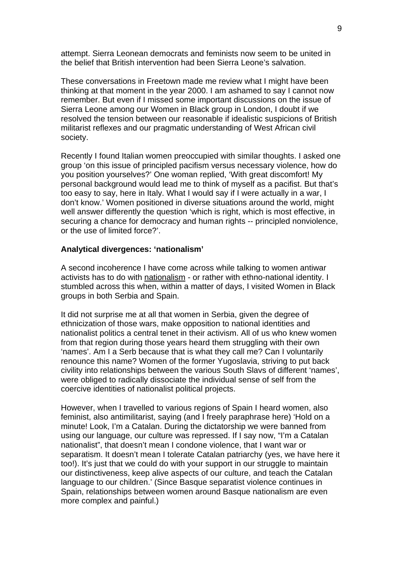attempt. Sierra Leonean democrats and feminists now seem to be united in the belief that British intervention had been Sierra Leone's salvation.

These conversations in Freetown made me review what I might have been thinking at that moment in the year 2000. I am ashamed to say I cannot now remember. But even if I missed some important discussions on the issue of Sierra Leone among our Women in Black group in London, I doubt if we resolved the tension between our reasonable if idealistic suspicions of British militarist reflexes and our pragmatic understanding of West African civil society.

Recently I found Italian women preoccupied with similar thoughts. I asked one group 'on this issue of principled pacifism versus necessary violence, how do you position yourselves?' One woman replied, 'With great discomfort! My personal background would lead me to think of myself as a pacifist. But that's too easy to say, here in Italy. What I would say if I were actually in a war, I don't know.' Women positioned in diverse situations around the world, might well answer differently the question 'which is right, which is most effective, in securing a chance for democracy and human rights -- principled nonviolence, or the use of limited force?'.

### **Analytical divergences: 'nationalism'**

A second incoherence I have come across while talking to women antiwar activists has to do with nationalism - or rather with ethno-national identity. I stumbled across this when, within a matter of days, I visited Women in Black groups in both Serbia and Spain.

It did not surprise me at all that women in Serbia, given the degree of ethnicization of those wars, make opposition to national identities and nationalist politics a central tenet in their activism. All of us who knew women from that region during those years heard them struggling with their own 'names'. Am I a Serb because that is what they call me? Can I voluntarily renounce this name? Women of the former Yugoslavia, striving to put back civility into relationships between the various South Slavs of different 'names', were obliged to radically dissociate the individual sense of self from the coercive identities of nationalist political projects.

However, when I travelled to various regions of Spain I heard women, also feminist, also antimilitarist, saying (and I freely paraphrase here) 'Hold on a minute! Look, I'm a Catalan. During the dictatorship we were banned from using our language, our culture was repressed. If I say now, "I'm a Catalan nationalist", that doesn't mean I condone violence, that I want war or separatism. It doesn't mean I tolerate Catalan patriarchy (yes, we have here it too!). It's just that we could do with your support in our struggle to maintain our distinctiveness, keep alive aspects of our culture, and teach the Catalan language to our children.' (Since Basque separatist violence continues in Spain, relationships between women around Basque nationalism are even more complex and painful.)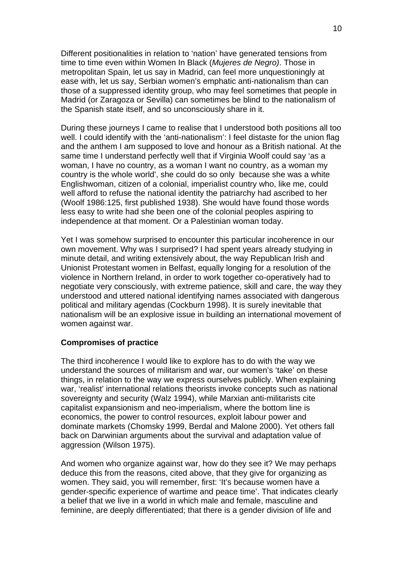Different positionalities in relation to 'nation' have generated tensions from time to time even within Women In Black (*Mujeres de Negro)*. Those in metropolitan Spain, let us say in Madrid, can feel more unquestioningly at ease with, let us say, Serbian women's emphatic anti-nationalism than can those of a suppressed identity group, who may feel sometimes that people in Madrid (or Zaragoza or Sevilla) can sometimes be blind to the nationalism of the Spanish state itself, and so unconsciously share in it.

During these journeys I came to realise that I understood both positions all too well. I could identify with the 'anti-nationalism': I feel distaste for the union flag and the anthem I am supposed to love and honour as a British national. At the same time I understand perfectly well that if Virginia Woolf could say 'as a woman, I have no country, as a woman I want no country, as a woman my country is the whole world', she could do so only because she was a white Englishwoman, citizen of a colonial, imperialist country who, like me, could well afford to refuse the national identity the patriarchy had ascribed to her (Woolf 1986:125, first published 1938). She would have found those words less easy to write had she been one of the colonial peoples aspiring to independence at that moment. Or a Palestinian woman today.

Yet I was somehow surprised to encounter this particular incoherence in our own movement. Why was I surprised? I had spent years already studying in minute detail, and writing extensively about, the way Republican Irish and Unionist Protestant women in Belfast, equally longing for a resolution of the violence in Northern Ireland, in order to work together co-operatively had to negotiate very consciously, with extreme patience, skill and care, the way they understood and uttered national identifying names associated with dangerous political and military agendas (Cockburn 1998). It is surely inevitable that nationalism will be an explosive issue in building an international movement of women against war.

# **Compromises of practice**

The third incoherence I would like to explore has to do with the way we understand the sources of militarism and war, our women's 'take' on these things, in relation to the way we express ourselves publicly. When explaining war, 'realist' international relations theorists invoke concepts such as national sovereignty and security (Walz 1994), while Marxian anti-militarists cite capitalist expansionism and neo-imperialism, where the bottom line is economics, the power to control resources, exploit labour power and dominate markets (Chomsky 1999, Berdal and Malone 2000). Yet others fall back on Darwinian arguments about the survival and adaptation value of aggression (Wilson 1975).

And women who organize against war, how do they see it? We may perhaps deduce this from the reasons, cited above, that they give for organizing as women. They said, you will remember, first: 'It's because women have a gender-specific experience of wartime and peace time'. That indicates clearly a belief that we live in a world in which male and female, masculine and feminine, are deeply differentiated; that there is a gender division of life and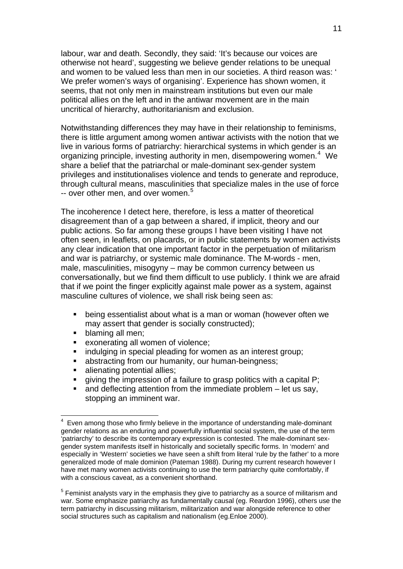labour, war and death. Secondly, they said: 'It's because our voices are otherwise not heard', suggesting we believe gender relations to be unequal and women to be valued less than men in our societies. A third reason was: ' We prefer women's ways of organising'. Experience has shown women, it seems, that not only men in mainstream institutions but even our male political allies on the left and in the antiwar movement are in the main uncritical of hierarchy, authoritarianism and exclusion.

Notwithstanding differences they may have in their relationship to feminisms, there is little argument among women antiwar activists with the notion that we live in various forms of patriarchy: hierarchical systems in which gender is an organizing principle, investing authority in men, disempowering women.<sup>[4](#page-10-0)</sup> We share a belief that the patriarchal or male-dominant sex-gender system privileges and institutionalises violence and tends to generate and reproduce, through cultural means, masculinities that specialize males in the use of force -- over other men, and over women.<sup>[5](#page-10-1)</sup>

The incoherence I detect here, therefore, is less a matter of theoretical disagreement than of a gap between a shared, if implicit, theory and our public actions. So far among these groups I have been visiting I have not often seen, in leaflets, on placards, or in public statements by women activists any clear indication that one important factor in the perpetuation of militarism and war is patriarchy, or systemic male dominance. The M-words - men, male, masculinities, misogyny – may be common currency between us conversationally, but we find them difficult to use publicly. I think we are afraid that if we point the finger explicitly against male power as a system, against masculine cultures of violence, we shall risk being seen as:

- being essentialist about what is a man or woman (however often we may assert that gender is socially constructed);
- blaming all men;

1

- exonerating all women of violence;
- indulging in special pleading for women as an interest group;
- abstracting from our humanity, our human-beingness;
- alienating potential allies;
- giving the impression of a failure to grasp politics with a capital P;
- and deflecting attention from the immediate problem let us say, stopping an imminent war.

<span id="page-10-0"></span><sup>4</sup> Even among those who firmly believe in the importance of understanding male-dominant gender relations as an enduring and powerfully influential social system, the use of the term 'patriarchy' to describe its contemporary expression is contested. The male-dominant sexgender system manifests itself in historically and societally specific forms. In 'modern' and especially in 'Western' societies we have seen a shift from literal 'rule by the father' to a more generalized mode of male dominion (Pateman 1988). During my current research however I have met many women activists continuing to use the term patriarchy quite comfortably, if with a conscious caveat, as a convenient shorthand.

<span id="page-10-1"></span> $<sup>5</sup>$  Feminist analysts vary in the emphasis they give to patriarchy as a source of militarism and</sup> war. Some emphasize patriarchy as fundamentally causal (eg. Reardon 1996), others use the term patriarchy in discussing militarism, militarization and war alongside reference to other social structures such as capitalism and nationalism (eg.Enloe 2000).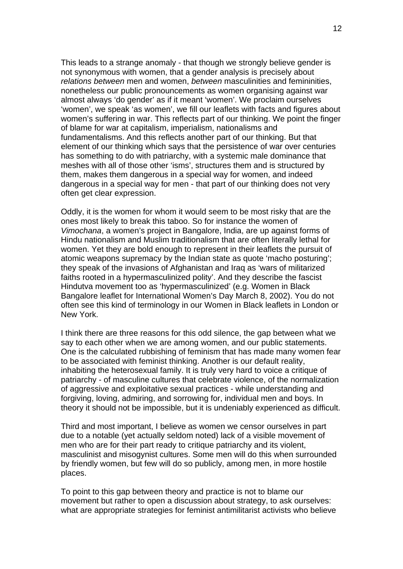This leads to a strange anomaly - that though we strongly believe gender is not synonymous with women, that a gender analysis is precisely about *relations between* men and women, *between* masculinities and femininities, nonetheless our public pronouncements as women organising against war almost always 'do gender' as if it meant 'women'. We proclaim ourselves 'women', we speak 'as women', we fill our leaflets with facts and figures about women's suffering in war. This reflects part of our thinking. We point the finger of blame for war at capitalism, imperialism, nationalisms and fundamentalisms. And this reflects another part of our thinking. But that element of our thinking which says that the persistence of war over centuries has something to do with patriarchy, with a systemic male dominance that meshes with all of those other 'isms', structures them and is structured by them, makes them dangerous in a special way for women, and indeed dangerous in a special way for men - that part of our thinking does not very often get clear expression.

Oddly, it is the women for whom it would seem to be most risky that are the ones most likely to break this taboo. So for instance the women of *Vimochana*, a women's project in Bangalore, India, are up against forms of Hindu nationalism and Muslim traditionalism that are often literally lethal for women. Yet they are bold enough to represent in their leaflets the pursuit of atomic weapons supremacy by the Indian state as quote 'macho posturing'; they speak of the invasions of Afghanistan and Iraq as 'wars of militarized faiths rooted in a hypermasculinized polity'. And they describe the fascist Hindutva movement too as 'hypermasculinized' (e.g. Women in Black Bangalore leaflet for International Women's Day March 8, 2002). You do not often see this kind of terminology in our Women in Black leaflets in London or New York.

I think there are three reasons for this odd silence, the gap between what we say to each other when we are among women, and our public statements. One is the calculated rubbishing of feminism that has made many women fear to be associated with feminist thinking. Another is our default reality, inhabiting the heterosexual family. It is truly very hard to voice a critique of patriarchy - of masculine cultures that celebrate violence, of the normalization of aggressive and exploitative sexual practices - while understanding and forgiving, loving, admiring, and sorrowing for, individual men and boys. In theory it should not be impossible, but it is undeniably experienced as difficult.

Third and most important, I believe as women we censor ourselves in part due to a notable (yet actually seldom noted) lack of a visible movement of men who are for their part ready to critique patriarchy and its violent, masculinist and misogynist cultures. Some men will do this when surrounded by friendly women, but few will do so publicly, among men, in more hostile places.

To point to this gap between theory and practice is not to blame our movement but rather to open a discussion about strategy, to ask ourselves: what are appropriate strategies for feminist antimilitarist activists who believe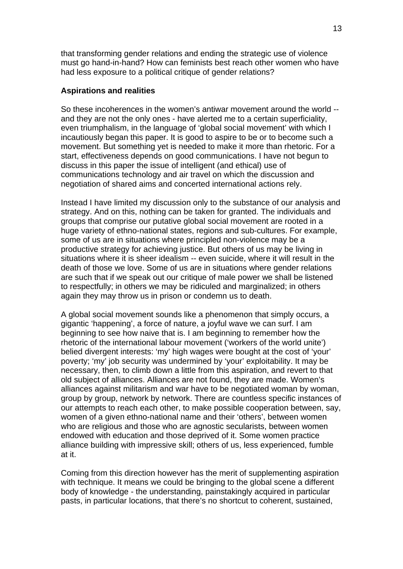that transforming gender relations and ending the strategic use of violence must go hand-in-hand? How can feminists best reach other women who have had less exposure to a political critique of gender relations?

# **Aspirations and realities**

So these incoherences in the women's antiwar movement around the world - and they are not the only ones - have alerted me to a certain superficiality, even triumphalism, in the language of 'global social movement' with which I incautiously began this paper. It is good to aspire to be or to become such a movement. But something yet is needed to make it more than rhetoric. For a start, effectiveness depends on good communications. I have not begun to discuss in this paper the issue of intelligent (and ethical) use of communications technology and air travel on which the discussion and negotiation of shared aims and concerted international actions rely.

Instead I have limited my discussion only to the substance of our analysis and strategy. And on this, nothing can be taken for granted. The individuals and groups that comprise our putative global social movement are rooted in a huge variety of ethno-national states, regions and sub-cultures. For example, some of us are in situations where principled non-violence may be a productive strategy for achieving justice. But others of us may be living in situations where it is sheer idealism -- even suicide, where it will result in the death of those we love. Some of us are in situations where gender relations are such that if we speak out our critique of male power we shall be listened to respectfully; in others we may be ridiculed and marginalized; in others again they may throw us in prison or condemn us to death.

A global social movement sounds like a phenomenon that simply occurs, a gigantic 'happening', a force of nature, a joyful wave we can surf. I am beginning to see how naive that is. I am beginning to remember how the rhetoric of the international labour movement ('workers of the world unite') belied divergent interests: 'my' high wages were bought at the cost of 'your' poverty; 'my' job security was undermined by 'your' exploitability. It may be necessary, then, to climb down a little from this aspiration, and revert to that old subject of alliances. Alliances are not found, they are made. Women's alliances against militarism and war have to be negotiated woman by woman, group by group, network by network. There are countless specific instances of our attempts to reach each other, to make possible cooperation between, say, women of a given ethno-national name and their 'others', between women who are religious and those who are agnostic secularists, between women endowed with education and those deprived of it. Some women practice alliance building with impressive skill; others of us, less experienced, fumble at it.

Coming from this direction however has the merit of supplementing aspiration with technique. It means we could be bringing to the global scene a different body of knowledge - the understanding, painstakingly acquired in particular pasts, in particular locations, that there's no shortcut to coherent, sustained,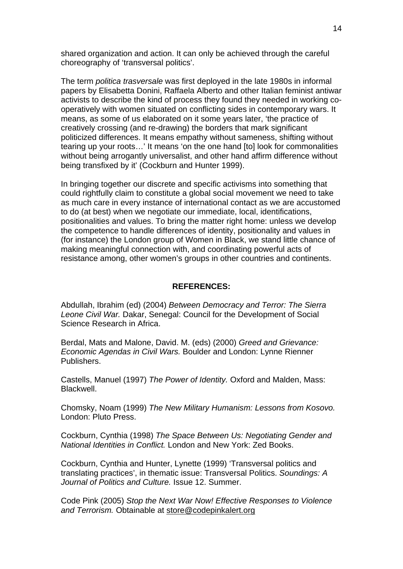shared organization and action. It can only be achieved through the careful choreography of 'transversal politics'.

The term *politica trasversale* was first deployed in the late 1980s in informal papers by Elisabetta Donini, Raffaela Alberto and other Italian feminist antiwar activists to describe the kind of process they found they needed in working cooperatively with women situated on conflicting sides in contemporary wars. It means, as some of us elaborated on it some years later, 'the practice of creatively crossing (and re-drawing) the borders that mark significant politicized differences. It means empathy without sameness, shifting without tearing up your roots…' It means 'on the one hand [to] look for commonalities without being arrogantly universalist, and other hand affirm difference without being transfixed by it' (Cockburn and Hunter 1999).

In bringing together our discrete and specific activisms into something that could rightfully claim to constitute a global social movement we need to take as much care in every instance of international contact as we are accustomed to do (at best) when we negotiate our immediate, local, identifications, positionalities and values. To bring the matter right home: unless we develop the competence to handle differences of identity, positionality and values in (for instance) the London group of Women in Black, we stand little chance of making meaningful connection with, and coordinating powerful acts of resistance among, other women's groups in other countries and continents.

## **REFERENCES:**

Abdullah, Ibrahim (ed) (2004) *Between Democracy and Terror: The Sierra Leone Civil War.* Dakar, Senegal: Council for the Development of Social Science Research in Africa.

Berdal, Mats and Malone, David. M. (eds) (2000) *Greed and Grievance: Economic Agendas in Civil Wars.* Boulder and London: Lynne Rienner Publishers.

Castells, Manuel (1997) *The Power of Identity.* Oxford and Malden, Mass: Blackwell.

Chomsky, Noam (1999) *The New Military Humanism: Lessons from Kosovo.*  London: Pluto Press.

Cockburn, Cynthia (1998) *The Space Between Us: Negotiating Gender and National Identities in Conflict.* London and New York: Zed Books.

Cockburn, Cynthia and Hunter, Lynette (1999) 'Transversal politics and translating practices', in thematic issue: Transversal Politics. *Soundings: A Journal of Politics and Culture.* Issue 12. Summer.

Code Pink (2005) *Stop the Next War Now! Effective Responses to Violence and Terrorism.* Obtainable at [store@codepinkalert.org](mailto:store@codepinkalert.org)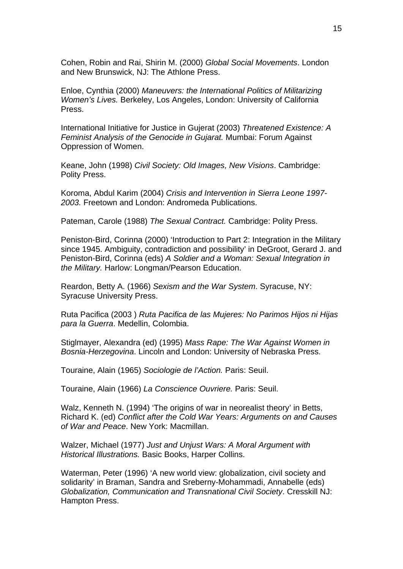Cohen, Robin and Rai, Shirin M. (2000) *Global Social Movements*. London and New Brunswick, NJ: The Athlone Press.

Enloe, Cynthia (2000) *Maneuvers: the International Politics of Militarizing Women's Lives.* Berkeley, Los Angeles, London: University of California Press.

International Initiative for Justice in Gujerat (2003) *Threatened Existence: A Feminist Analysis of the Genocide in Gujarat.* Mumbai: Forum Against Oppression of Women.

Keane, John (1998) *Civil Society: Old Images, New Visions*. Cambridge: Polity Press.

Koroma, Abdul Karim (2004) *Crisis and Intervention in Sierra Leone 1997- 2003.* Freetown and London: Andromeda Publications.

Pateman, Carole (1988) *The Sexual Contract.* Cambridge: Polity Press.

Peniston-Bird, Corinna (2000) 'Introduction to Part 2: Integration in the Military since 1945. Ambiguity, contradiction and possibility' in DeGroot, Gerard J. and Peniston-Bird, Corinna (eds) *A Soldier and a Woman: Sexual Integration in the Military.* Harlow: Longman/Pearson Education.

Reardon, Betty A. (1966) *Sexism and the War System*. Syracuse, NY: Syracuse University Press.

Ruta Pacifica (2003 ) *Ruta Pacifica de las Mujeres: No Parimos Hijos ni Hijas para la Guerra*. Medellin, Colombia.

Stiglmayer, Alexandra (ed) (1995) *Mass Rape: The War Against Women in Bosnia-Herzegovina*. Lincoln and London: University of Nebraska Press.

Touraine, Alain (1965) *Sociologie de l'Action.* Paris: Seuil.

Touraine, Alain (1966) *La Conscience Ouvriere.* Paris: Seuil.

Walz, Kenneth N. (1994) 'The origins of war in neorealist theory' in Betts, Richard K. (ed) *Conflict after the Cold War Years: Arguments on and Causes of War and Peace*. New York: Macmillan.

Walzer, Michael (1977) *Just and Unjust Wars: A Moral Argument with Historical Illustrations.* Basic Books, Harper Collins.

Waterman, Peter (1996) 'A new world view: globalization, civil society and solidarity' in Braman, Sandra and Sreberny-Mohammadi, Annabelle (eds) *Globalization, Communication and Transnational Civil Society*. Cresskill NJ: Hampton Press.